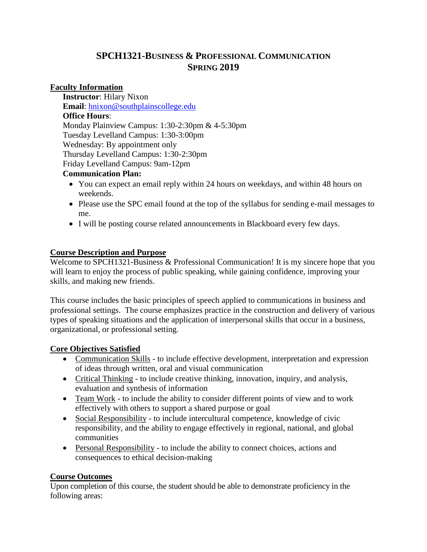# **SPCH1321-BUSINESS & PROFESSIONAL COMMUNICATION SPRING 2019**

## **Faculty Information**

**Instructor**: Hilary Nixon **Email**: [hnixon@southplainscollege.edu](mailto:hnixon@southplainscollege.edu) **Office Hours**: Monday Plainview Campus: 1:30-2:30pm & 4-5:30pm Tuesday Levelland Campus: 1:30-3:00pm Wednesday: By appointment only Thursday Levelland Campus: 1:30-2:30pm Friday Levelland Campus: 9am-12pm

## **Communication Plan:**

- You can expect an email reply within 24 hours on weekdays, and within 48 hours on weekends.
- Please use the SPC email found at the top of the syllabus for sending e-mail messages to me.
- I will be posting course related announcements in Blackboard every few days.

## **Course Description and Purpose**

Welcome to SPCH1321-Business & Professional Communication! It is my sincere hope that you will learn to enjoy the process of public speaking, while gaining confidence, improving your skills, and making new friends.

This course includes the basic principles of speech applied to communications in business and professional settings. The course emphasizes practice in the construction and delivery of various types of speaking situations and the application of interpersonal skills that occur in a business, organizational, or professional setting.

## **Core Objectives Satisfied**

- Communication Skills to include effective development, interpretation and expression of ideas through written, oral and visual communication
- Critical Thinking to include creative thinking, innovation, inquiry, and analysis, evaluation and synthesis of information
- Team Work to include the ability to consider different points of view and to work effectively with others to support a shared purpose or goal
- Social Responsibility to include intercultural competence, knowledge of civic responsibility, and the ability to engage effectively in regional, national, and global communities
- Personal Responsibility to include the ability to connect choices, actions and consequences to ethical decision-making

## **Course Outcomes**

Upon completion of this course, the student should be able to demonstrate proficiency in the following areas: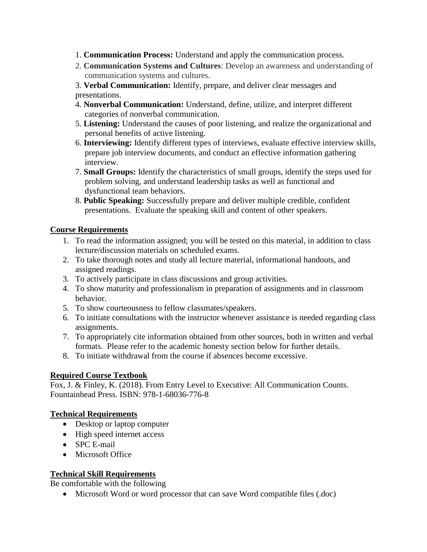- 1. **Communication Process:** Understand and apply the communication process.
- 2. **Communication Systems and Cultures**: Develop an awareness and understanding of communication systems and cultures.
- 3. **Verbal Communication:** Identify, prepare, and deliver clear messages and presentations.
- 4. **Nonverbal Communication:** Understand, define, utilize, and interpret different categories of nonverbal communication.
- 5. **Listening:** Understand the causes of poor listening, and realize the organizational and personal benefits of active listening.
- 6. **Interviewing:** Identify different types of interviews, evaluate effective interview skills, prepare job interview documents, and conduct an effective information gathering interview.
- 7. **Small Groups:** Identify the characteristics of small groups, identify the steps used for problem solving, and understand leadership tasks as well as functional and dysfunctional team behaviors.
- 8. **Public Speaking:** Successfully prepare and deliver multiple credible, confident presentations. Evaluate the speaking skill and content of other speakers.

## **Course Requirements**

- 1. To read the information assigned; you will be tested on this material, in addition to class lecture/discussion materials on scheduled exams.
- 2. To take thorough notes and study all lecture material, informational handouts, and assigned readings.
- 3. To actively participate in class discussions and group activities.
- 4. To show maturity and professionalism in preparation of assignments and in classroom behavior.
- 5. To show courteousness to fellow classmates/speakers.
- 6. To initiate consultations with the instructor whenever assistance is needed regarding class assignments.
- 7. To appropriately cite information obtained from other sources, both in written and verbal formats. Please refer to the academic honesty section below for further details.
- 8. To initiate withdrawal from the course if absences become excessive.

## **Required Course Textbook**

Fox, J. & Finley, K. (2018). From Entry Level to Executive: All Communication Counts. Fountainhead Press. ISBN: 978-1-68036-776-8

## **Technical Requirements**

- Desktop or laptop computer
- High speed internet access
- SPC E-mail
- Microsoft Office

## **Technical Skill Requirements**

Be comfortable with the following

Microsoft Word or word processor that can save Word compatible files (.doc)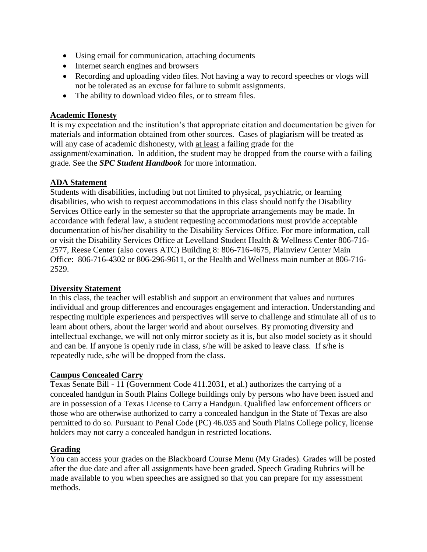- Using email for communication, attaching documents
- Internet search engines and browsers
- Recording and uploading video files. Not having a way to record speeches or vlogs will not be tolerated as an excuse for failure to submit assignments.
- The ability to download video files, or to stream files.

#### **Academic Honesty**

It is my expectation and the institution's that appropriate citation and documentation be given for materials and information obtained from other sources. Cases of plagiarism will be treated as will any case of academic dishonesty, with at least a failing grade for the assignment/examination. In addition, the student may be dropped from the course with a failing grade. See the *SPC Student Handbook* for more information.

#### **ADA Statement**

Students with disabilities, including but not limited to physical, psychiatric, or learning disabilities, who wish to request accommodations in this class should notify the Disability Services Office early in the semester so that the appropriate arrangements may be made. In accordance with federal law, a student requesting accommodations must provide acceptable documentation of his/her disability to the Disability Services Office. For more information, call or visit the Disability Services Office at Levelland Student Health & Wellness Center 806-716- 2577, Reese Center (also covers ATC) Building 8: 806-716-4675, Plainview Center Main Office: 806-716-4302 or 806-296-9611, or the Health and Wellness main number at 806-716- 2529.

#### **Diversity Statement**

In this class, the teacher will establish and support an environment that values and nurtures individual and group differences and encourages engagement and interaction. Understanding and respecting multiple experiences and perspectives will serve to challenge and stimulate all of us to learn about others, about the larger world and about ourselves. By promoting diversity and intellectual exchange, we will not only mirror society as it is, but also model society as it should and can be. If anyone is openly rude in class, s/he will be asked to leave class. If s/he is repeatedly rude, s/he will be dropped from the class.

#### **Campus Concealed Carry**

Texas Senate Bill - 11 (Government Code 411.2031, et al.) authorizes the carrying of a concealed handgun in South Plains College buildings only by persons who have been issued and are in possession of a Texas License to Carry a Handgun. Qualified law enforcement officers or those who are otherwise authorized to carry a concealed handgun in the State of Texas are also permitted to do so. Pursuant to Penal Code (PC) 46.035 and South Plains College policy, license holders may not carry a concealed handgun in restricted locations.

#### **Grading**

You can access your grades on the Blackboard Course Menu (My Grades). Grades will be posted after the due date and after all assignments have been graded. Speech Grading Rubrics will be made available to you when speeches are assigned so that you can prepare for my assessment methods.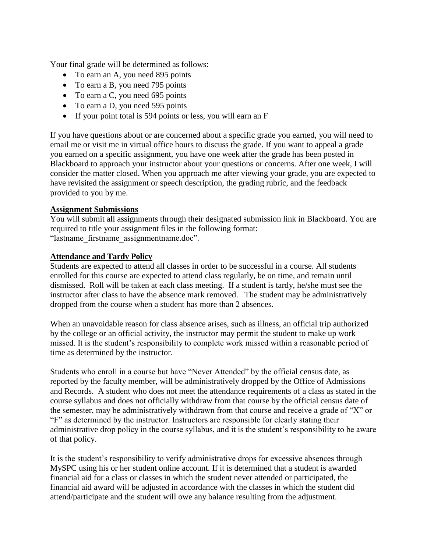Your final grade will be determined as follows:

- To earn an A, you need 895 points
- To earn a B, you need 795 points
- To earn a C, you need 695 points
- To earn a D, you need 595 points
- If your point total is 594 points or less, you will earn an F

If you have questions about or are concerned about a specific grade you earned, you will need to email me or visit me in virtual office hours to discuss the grade. If you want to appeal a grade you earned on a specific assignment, you have one week after the grade has been posted in Blackboard to approach your instructor about your questions or concerns. After one week, I will consider the matter closed. When you approach me after viewing your grade, you are expected to have revisited the assignment or speech description, the grading rubric, and the feedback provided to you by me.

## **Assignment Submissions**

You will submit all assignments through their designated submission link in Blackboard. You are required to title your assignment files in the following format: "lastname\_firstname\_assignmentname.doc".

#### **Attendance and Tardy Policy**

Students are expected to attend all classes in order to be successful in a course. All students enrolled for this course are expected to attend class regularly, be on time, and remain until dismissed. Roll will be taken at each class meeting. If a student is tardy, he/she must see the instructor after class to have the absence mark removed. The student may be administratively dropped from the course when a student has more than 2 absences.

When an unavoidable reason for class absence arises, such as illness, an official trip authorized by the college or an official activity, the instructor may permit the student to make up work missed. It is the student's responsibility to complete work missed within a reasonable period of time as determined by the instructor.

Students who enroll in a course but have "Never Attended" by the official census date, as reported by the faculty member, will be administratively dropped by the Office of Admissions and Records. A student who does not meet the attendance requirements of a class as stated in the course syllabus and does not officially withdraw from that course by the official census date of the semester, may be administratively withdrawn from that course and receive a grade of "X" or "F" as determined by the instructor. Instructors are responsible for clearly stating their administrative drop policy in the course syllabus, and it is the student's responsibility to be aware of that policy.

It is the student's responsibility to verify administrative drops for excessive absences through MySPC using his or her student online account. If it is determined that a student is awarded financial aid for a class or classes in which the student never attended or participated, the financial aid award will be adjusted in accordance with the classes in which the student did attend/participate and the student will owe any balance resulting from the adjustment.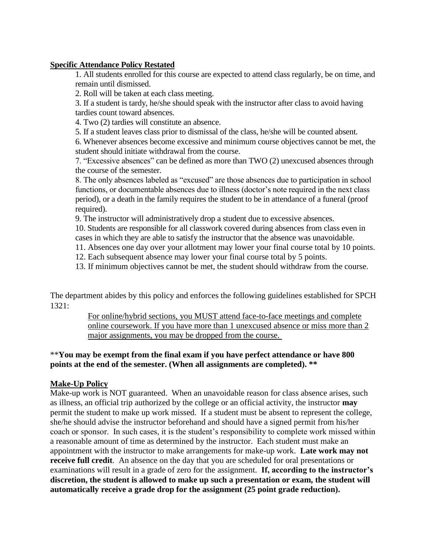#### **Specific Attendance Policy Restated**

1. All students enrolled for this course are expected to attend class regularly, be on time, and remain until dismissed.

2. Roll will be taken at each class meeting.

3. If a student is tardy, he/she should speak with the instructor after class to avoid having tardies count toward absences.

4. Two (2) tardies will constitute an absence.

5. If a student leaves class prior to dismissal of the class, he/she will be counted absent.

6. Whenever absences become excessive and minimum course objectives cannot be met, the student should initiate withdrawal from the course.

7. "Excessive absences" can be defined as more than TWO (2) unexcused absences through the course of the semester.

8. The only absences labeled as "excused" are those absences due to participation in school functions, or documentable absences due to illness (doctor's note required in the next class period), or a death in the family requires the student to be in attendance of a funeral (proof required).

9. The instructor will administratively drop a student due to excessive absences.

10. Students are responsible for all classwork covered during absences from class even in cases in which they are able to satisfy the instructor that the absence was unavoidable.

11. Absences one day over your allotment may lower your final course total by 10 points.

12. Each subsequent absence may lower your final course total by 5 points.

13. If minimum objectives cannot be met, the student should withdraw from the course.

The department abides by this policy and enforces the following guidelines established for SPCH  $1321:$ 

> For online/hybrid sections, you MUST attend face-to-face meetings and complete online coursework. If you have more than 1 unexcused absence or miss more than 2 major assignments, you may be dropped from the course.

#### \*\***You may be exempt from the final exam if you have perfect attendance or have 800 points at the end of the semester. (When all assignments are completed). \*\***

#### **Make-Up Policy**

Make-up work is NOT guaranteed. When an unavoidable reason for class absence arises, such as illness, an official trip authorized by the college or an official activity, the instructor **may** permit the student to make up work missed. If a student must be absent to represent the college, she/he should advise the instructor beforehand and should have a signed permit from his/her coach or sponsor. In such cases, it is the student's responsibility to complete work missed within a reasonable amount of time as determined by the instructor. Each student must make an appointment with the instructor to make arrangements for make-up work. **Late work may not receive full credit**. An absence on the day that you are scheduled for oral presentations or examinations will result in a grade of zero for the assignment. **If, according to the instructor's discretion, the student is allowed to make up such a presentation or exam, the student will automatically receive a grade drop for the assignment (25 point grade reduction).**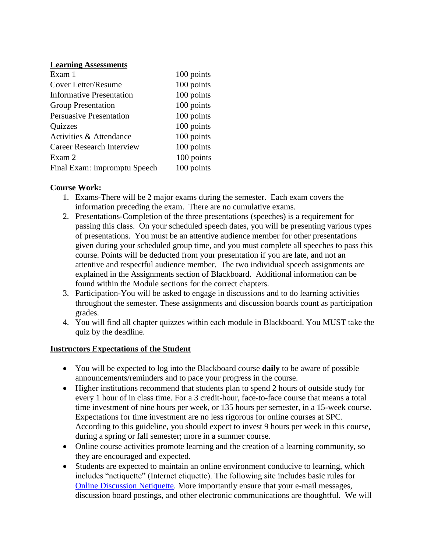#### **Learning Assessments**

| Exam 1                          | 100 points |
|---------------------------------|------------|
| <b>Cover Letter/Resume</b>      | 100 points |
| <b>Informative Presentation</b> | 100 points |
| <b>Group Presentation</b>       | 100 points |
| <b>Persuasive Presentation</b>  | 100 points |
| <b>Quizzes</b>                  | 100 points |
| Activities & Attendance         | 100 points |
| Career Research Interview       | 100 points |
| Exam 2                          | 100 points |
| Final Exam: Impromptu Speech    | 100 points |

## **Course Work:**

- 1. Exams-There will be 2 major exams during the semester. Each exam covers the information preceding the exam. There are no cumulative exams.
- 2. Presentations-Completion of the three presentations (speeches) is a requirement for passing this class. On your scheduled speech dates, you will be presenting various types of presentations. You must be an attentive audience member for other presentations given during your scheduled group time, and you must complete all speeches to pass this course. Points will be deducted from your presentation if you are late, and not an attentive and respectful audience member. The two individual speech assignments are explained in the Assignments section of Blackboard. Additional information can be found within the Module sections for the correct chapters.
- 3. Participation-You will be asked to engage in discussions and to do learning activities throughout the semester. These assignments and discussion boards count as participation grades.
- 4. You will find all chapter quizzes within each module in Blackboard. You MUST take the quiz by the deadline.

## **Instructors Expectations of the Student**

- You will be expected to log into the Blackboard course **daily** to be aware of possible announcements/reminders and to pace your progress in the course.
- Higher institutions recommend that students plan to spend 2 hours of outside study for every 1 hour of in class time. For a 3 credit-hour, face-to-face course that means a total time investment of nine hours per week, or 135 hours per semester, in a 15-week course. Expectations for time investment are no less rigorous for online courses at SPC. According to this guideline, you should expect to invest 9 hours per week in this course, during a spring or fall semester; more in a summer course.
- Online course activities promote learning and the creation of a learning community, so they are encouraged and expected.
- Students are expected to maintain an online environment conducive to learning, which includes "netiquette" (Internet etiquette). The following site includes basic rules for [Online Discussion Netiquette.](https://www.depts.ttu.edu/elearning/blackboard/student/netiquette.php) More importantly ensure that your e-mail messages, discussion board postings, and other electronic communications are thoughtful. We will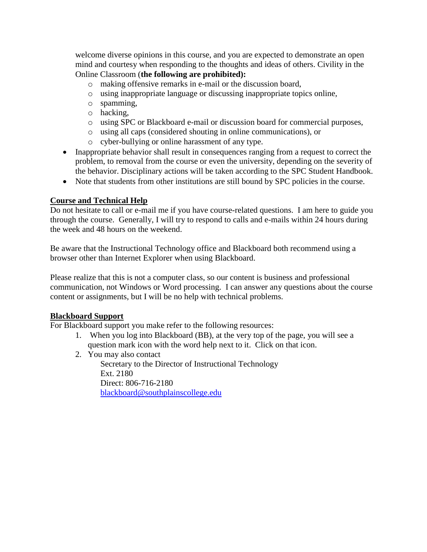welcome diverse opinions in this course, and you are expected to demonstrate an open mind and courtesy when responding to the thoughts and ideas of others. Civility in the Online Classroom (**the following are prohibited):** 

- o making offensive remarks in e-mail or the discussion board,
- o using inappropriate language or discussing inappropriate topics online,
- o spamming,
- o hacking,
- o using SPC or Blackboard e-mail or discussion board for commercial purposes,
- o using all caps (considered shouting in online communications), or
- o cyber-bullying or online harassment of any type.
- Inappropriate behavior shall result in consequences ranging from a request to correct the problem, to removal from the course or even the university, depending on the severity of the behavior. Disciplinary actions will be taken according to the SPC Student Handbook.
- Note that students from other institutions are still bound by SPC policies in the course.

## **Course and Technical Help**

Do not hesitate to call or e-mail me if you have course-related questions. I am here to guide you through the course. Generally, I will try to respond to calls and e-mails within 24 hours during the week and 48 hours on the weekend.

Be aware that the Instructional Technology office and Blackboard both recommend using a browser other than Internet Explorer when using Blackboard.

Please realize that this is not a computer class, so our content is business and professional communication, not Windows or Word processing. I can answer any questions about the course content or assignments, but I will be no help with technical problems.

## **Blackboard Support**

For Blackboard support you make refer to the following resources:

- 1. When you log into Blackboard (BB), at the very top of the page, you will see a question mark icon with the word help next to it. Click on that icon.
- 2. You may also contact

Secretary to the Director of Instructional Technology Ext. 2180 Direct: 806-716-2180 [blackboard@southplainscollege.edu](mailto:jetucker@southplainscollege.edu)